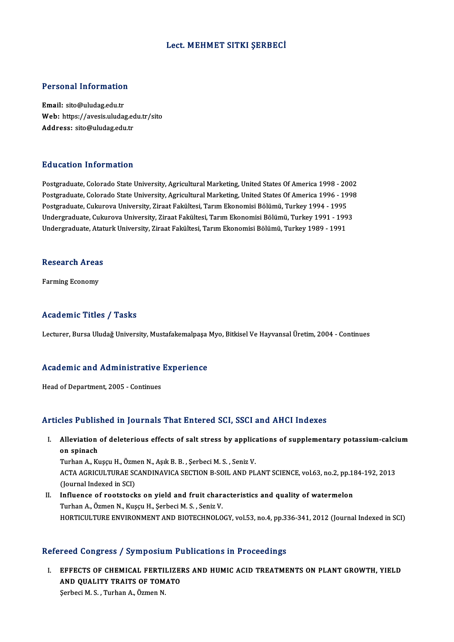#### Lect.MEHMET SITKI ŞERBECİ

# Personal Information

Personal Information<br>Email: sito@uludag.edu.tr<br>Web: https://avesis.uluda r croomar micrimation<br>Email: sito@uludag.edu.tr<br>Web: https://avesis.uludag.edu.tr/sito Email: sito@uludag.edu.tr<br>Web: https://avesis.uludag.ed<br>Address: sito@uludag.edu.tr Address: sito@uludag.edu.tr<br>Education Information

Postgraduate, Colorado State University, Agricultural Marketing, United States Of America 1998 - 2002 Postgraduate, Colorado State University, Agricultural Marketing, United States Of America 1998 - 2002<br>Postgraduate, Colorado State University, Agricultural Marketing, United States Of America 1996 - 1998<br>Postgraduate, Cult Postgraduate, Colorado State University, Agricultural Marketing, United States Of America 1998 - 20<br>Postgraduate, Colorado State University, Agricultural Marketing, United States Of America 1996 - 19<br>Postgraduate, Cukurova Postgraduate, Colorado State University, Agricultural Marketing, United States Of America 1996 - 1998<br>Postgraduate, Cukurova University, Ziraat Fakültesi, Tarım Ekonomisi Bölümü, Turkey 1994 - 1995<br>Undergraduate, Cukurova Postgraduate, Cukurova University, Ziraat Fakültesi, Tarım Ekonomisi Bölümü, Turkey 1994 - 1995<br>Undergraduate, Cukurova University, Ziraat Fakültesi, Tarım Ekonomisi Bölümü, Turkey 1991 - 1993<br>Undergraduate, Ataturk Univer

### ondergraduate, Atat<br>Research Areas R<mark>esearch Area:</mark><br>Farming Economy

## Farming Economy<br>Academic Titles / Tasks

Lecturer, Bursa Uludağ University, Mustafakemalpaşa Myo, Bitkisel Ve Hayvansal Üretim, 2004 - Continues

### Lecturer, bursa oludag oniversity, mustalakemalpaşa<br>Academic and Administrative Experience **Academic and Administrative<br>Head of Department, 2005 - Continues**

## Articles Published in Journals That Entered SCI, SSCI and AHCI Indexes

rticles Published in Journals That Entered SCI, SSCI and AHCI Indexes<br>I. Alleviation of deleterious effects of salt stress by applications of supplementary potassium-calcium<br>20 Spinach Alleviation<br>
on spinach<br>
Turban A. Ky Alleviation of deleterious effects of salt stress by applicant spinach<br>Turhan A., Kuşçu H., Özmen N., Aşık B. B. , Şerbeci M. S. , Seniz V.<br>ACTA ACRICULTURAE SCANDINAVICA SECTION B. SOU, AND BI

on spinach<br>Turhan A., Kuşçu H., Özmen N., Aşık B. B. , Şerbeci M. S. , Seniz V.<br>ACTA AGRICULTURAE SCANDINAVICA SECTION B-SOIL AND PLANT SCIENCE, vol.63, no.2, pp.184-192, 2013<br>(Journal Indexed in SCI) Turhan A., Kuşçu H., Özmen N., Aşık B. B., Şerbeci M. S., Seniz V. ACTA AGRICULTURAE SCANDINAVICA SECTION B-SOIL AND PLANT SCIENCE, vol.63, no.2, pp.14<br>(Journal Indexed in SCI)<br>II. Influence of rootstocks on yield and fruit characteristics and quality of watermelon<br>Turban A. Özmon N. Kuse

(Journal Indexed in SCI)<br>I<mark>nfluence of rootstocks on yield and fruit char</mark>:<br>Turhan A., Özmen N., Kuşçu H., Şerbeci M. S. , Seniz V.<br>HOPTICULTURE ENVIRONMENT AND RIOTECHNOLO Turhan A., Özmen N., Kuşçu H., Şerbeci M. S. , Seniz V.<br>HORTICULTURE ENVIRONMENT AND BIOTECHNOLOGY, vol.53, no.4, pp.336-341, 2012 (Journal Indexed in SCI)

#### Refereed Congress / Symposium Publications in Proceedings

I. EFFECTS OF CHEMICAL FERTILIZERS AND HUMIC ACID TREATMENTS ON PLANT GROWTH, YIELD TECH COMPLESS TO THE SOLUMER THE<br>EFFECTS OF CHEMICAL FERTILIZED<br>AND QUALITY TRAITS OF TOMATO EFFECTS OF CHEMICAL FERTI<br>AND QUALITY TRAITS OF TOM<br>Şerbeci M. S. , Turhan A., Özmen N.